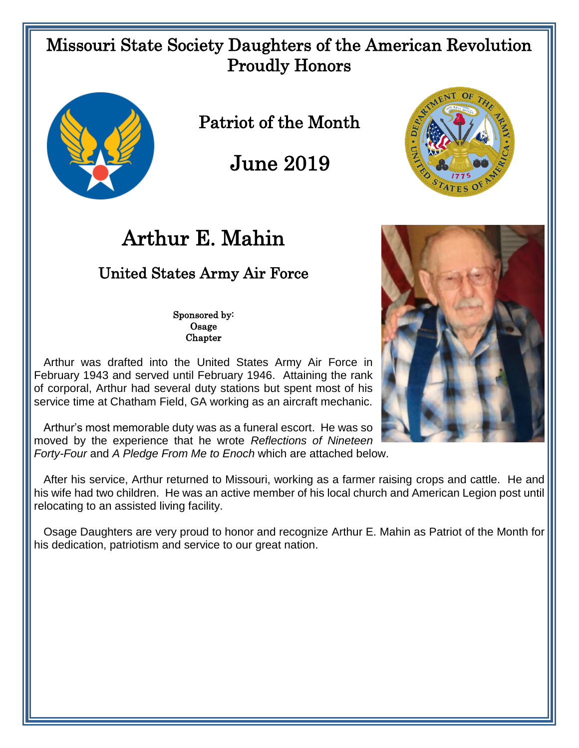## Missouri State Society Daughters of the American Revolution Proudly Honors



Patriot of the Month

June 2019



# Arthur E. Mahin

## United States Army Air Force

Sponsored by: Osage Chapter

 Arthur was drafted into the United States Army Air Force in February 1943 and served until February 1946. Attaining the rank of corporal, Arthur had several duty stations but spent most of his service time at Chatham Field, GA working as an aircraft mechanic.

 Arthur's most memorable duty was as a funeral escort. He was so moved by the experience that he wrote *Reflections of Nineteen Forty-Four* and *A Pledge From Me to Enoch* which are attached below.

 After his service, Arthur returned to Missouri, working as a farmer raising crops and cattle. He and his wife had two children. He was an active member of his local church and American Legion post until relocating to an assisted living facility.

 Osage Daughters are very proud to honor and recognize Arthur E. Mahin as Patriot of the Month for his dedication, patriotism and service to our great nation.

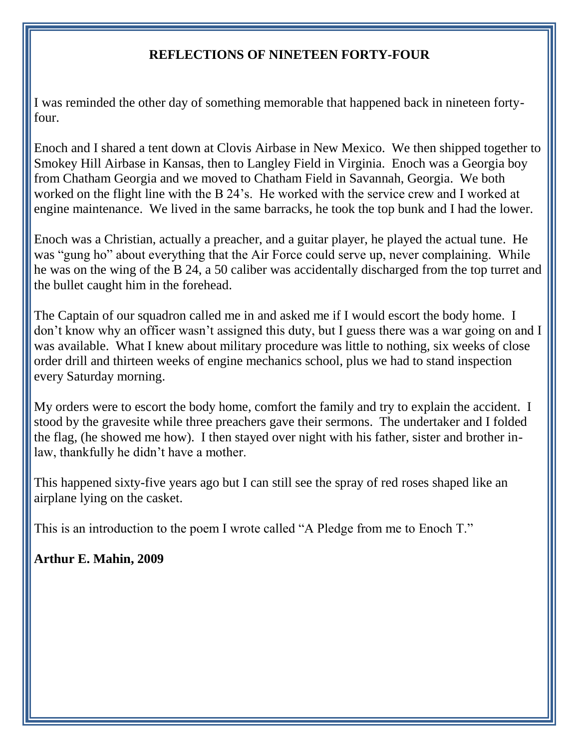#### **REFLECTIONS OF NINETEEN FORTY-FOUR**

I was reminded the other day of something memorable that happened back in nineteen fortyfour.

Enoch and I shared a tent down at Clovis Airbase in New Mexico. We then shipped together to Smokey Hill Airbase in Kansas, then to Langley Field in Virginia. Enoch was a Georgia boy from Chatham Georgia and we moved to Chatham Field in Savannah, Georgia. We both worked on the flight line with the B 24's. He worked with the service crew and I worked at engine maintenance. We lived in the same barracks, he took the top bunk and I had the lower.

Enoch was a Christian, actually a preacher, and a guitar player, he played the actual tune. He was "gung ho" about everything that the Air Force could serve up, never complaining. While he was on the wing of the B 24, a 50 caliber was accidentally discharged from the top turret and the bullet caught him in the forehead.

The Captain of our squadron called me in and asked me if I would escort the body home. I don't know why an officer wasn't assigned this duty, but I guess there was a war going on and I was available. What I knew about military procedure was little to nothing, six weeks of close order drill and thirteen weeks of engine mechanics school, plus we had to stand inspection every Saturday morning.

My orders were to escort the body home, comfort the family and try to explain the accident. I stood by the gravesite while three preachers gave their sermons. The undertaker and I folded the flag, (he showed me how). I then stayed over night with his father, sister and brother inlaw, thankfully he didn't have a mother.

This happened sixty-five years ago but I can still see the spray of red roses shaped like an airplane lying on the casket.

This is an introduction to the poem I wrote called "A Pledge from me to Enoch T."

#### **Arthur E. Mahin, 2009**